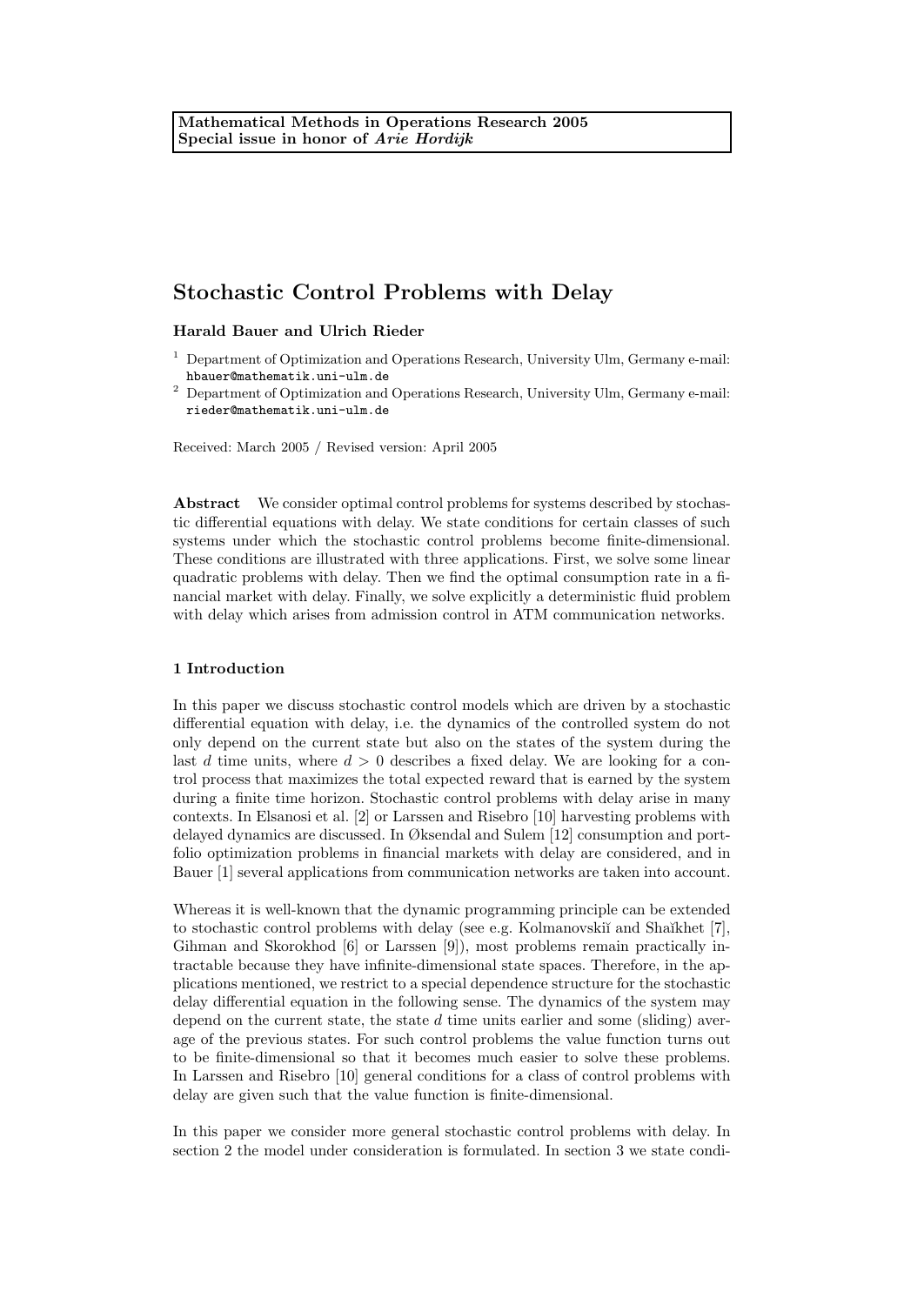Harald Bauer and Ulrich Rieder

<sup>2</sup> Department of Optimization and Operations Research, University Ulm, Germany e-mail: rieder@mathematik.uni-ulm.de

Received: March 2005 / Revised version: April 2005

Abstract We consider optimal control problems for systems described by stochastic differential equations with delay. We state conditions for certain classes of such systems under which the stochastic control problems become finite-dimensional. These conditions are illustrated with three applications. First, we solve some linear quadratic problems with delay. Then we find the optimal consumption rate in a financial market with delay. Finally, we solve explicitly a deterministic fluid problem with delay which arises from admission control in ATM communication networks.

# 1 Introduction

In this paper we discuss stochastic control models which are driven by a stochastic differential equation with delay, i.e. the dynamics of the controlled system do not only depend on the current state but also on the states of the system during the last d time units, where  $d > 0$  describes a fixed delay. We are looking for a control process that maximizes the total expected reward that is earned by the system during a finite time horizon. Stochastic control problems with delay arise in many contexts. In Elsanosi et al. [2] or Larssen and Risebro [10] harvesting problems with delayed dynamics are discussed. In Øksendal and Sulem [12] consumption and portfolio optimization problems in financial markets with delay are considered, and in Bauer [1] several applications from communication networks are taken into account.

Whereas it is well-known that the dynamic programming principle can be extended to stochastic control problems with delay (see e.g. Kolmanovskiı̆ and Shaĭkhet [7], Gihman and Skorokhod [6] or Larssen [9]), most problems remain practically intractable because they have infinite-dimensional state spaces. Therefore, in the applications mentioned, we restrict to a special dependence structure for the stochastic delay differential equation in the following sense. The dynamics of the system may depend on the current state, the state  $d$  time units earlier and some (sliding) average of the previous states. For such control problems the value function turns out to be finite-dimensional so that it becomes much easier to solve these problems. In Larssen and Risebro [10] general conditions for a class of control problems with delay are given such that the value function is finite-dimensional.

In this paper we consider more general stochastic control problems with delay. In section 2 the model under consideration is formulated. In section 3 we state condi-

<sup>&</sup>lt;sup>1</sup> Department of Optimization and Operations Research, University Ulm, Germany e-mail: hbauer@mathematik.uni-ulm.de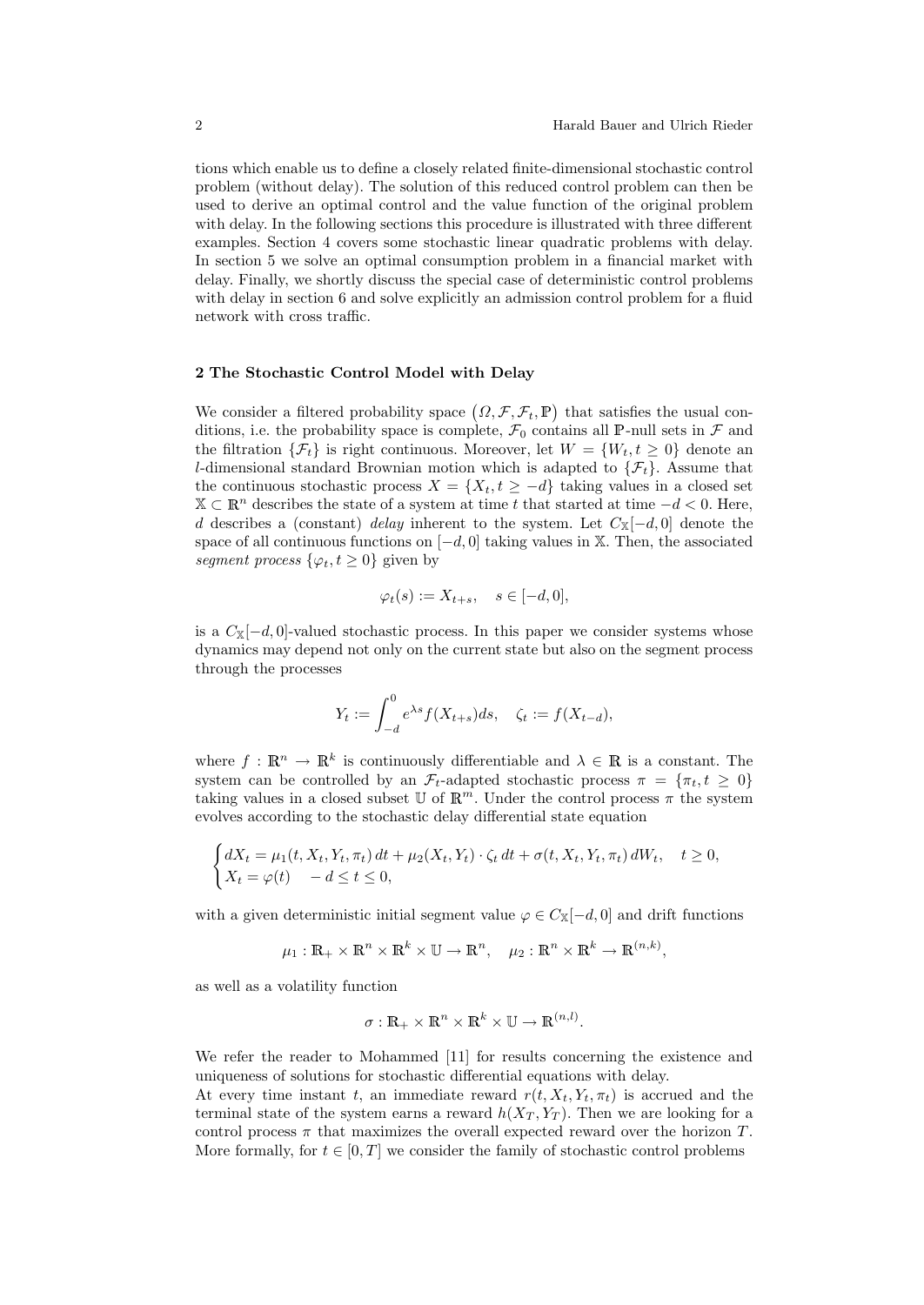tions which enable us to define a closely related finite-dimensional stochastic control problem (without delay). The solution of this reduced control problem can then be used to derive an optimal control and the value function of the original problem with delay. In the following sections this procedure is illustrated with three different examples. Section 4 covers some stochastic linear quadratic problems with delay. In section 5 we solve an optimal consumption problem in a financial market with delay. Finally, we shortly discuss the special case of deterministic control problems with delay in section 6 and solve explicitly an admission control problem for a fluid network with cross traffic.

#### 2 The Stochastic Control Model with Delay

We consider a filtered probability space  $(\Omega, \mathcal{F}, \mathcal{F}_t, \mathbb{P})$  that satisfies the usual conditions, i.e. the probability space is complete,  $\mathcal{F}_0$  contains all P-null sets in  $\mathcal F$  and the filtration  $\{\mathcal{F}_t\}$  is right continuous. Moreover, let  $W = \{W_t, t \geq 0\}$  denote an l-dimensional standard Brownian motion which is adapted to  $\{\mathcal{F}_t\}$ . Assume that the continuous stochastic process  $X = \{X_t, t \geq -d\}$  taking values in a closed set  $\mathbb{X} \subset \mathbb{R}^n$  describes the state of a system at time t that started at time  $-d < 0$ . Here, d describes a (constant) delay inherent to the system. Let  $C_{\mathbb{X}}[-d,0]$  denote the space of all continuous functions on  $[-d, 0]$  taking values in X. Then, the associated segment process  $\{\varphi_t, t \geq 0\}$  given by

$$
\varphi_t(s) := X_{t+s}, \quad s \in [-d, 0],
$$

is a  $C_{\mathbb{X}}[-d,0]$ -valued stochastic process. In this paper we consider systems whose dynamics may depend not only on the current state but also on the segment process through the processes

$$
Y_t := \int_{-d}^{0} e^{\lambda s} f(X_{t+s}) ds, \quad \zeta_t := f(X_{t-d}),
$$

where  $f: \mathbb{R}^n \to \mathbb{R}^k$  is continuously differentiable and  $\lambda \in \mathbb{R}$  is a constant. The system can be controlled by an  $\mathcal{F}_t$ -adapted stochastic process  $\pi = {\pi_t, t > 0}$ taking values in a closed subset U of  $\mathbb{R}^m$ . Under the control process  $\pi$  the system evolves according to the stochastic delay differential state equation

$$
\begin{cases} dX_t = \mu_1(t, X_t, Y_t, \pi_t) dt + \mu_2(X_t, Y_t) \cdot \zeta_t dt + \sigma(t, X_t, Y_t, \pi_t) dW_t, \quad t \ge 0, \\ X_t = \varphi(t) \quad -d \le t \le 0, \end{cases}
$$

with a given deterministic initial segment value  $\varphi \in C_{\mathbb{X}}[-d,0]$  and drift functions

$$
\mu_1: \mathbb{R}_+ \times \mathbb{R}^n \times \mathbb{R}^k \times \mathbb{U} \to \mathbb{R}^n, \quad \mu_2: \mathbb{R}^n \times \mathbb{R}^k \to \mathbb{R}^{(n,k)},
$$

as well as a volatility function

$$
\sigma: \mathbb{R}_+ \times \mathbb{R}^n \times \mathbb{R}^k \times \mathbb{U} \to \mathbb{R}^{(n,l)}.
$$

We refer the reader to Mohammed [11] for results concerning the existence and uniqueness of solutions for stochastic differential equations with delay.

At every time instant t, an immediate reward  $r(t, X_t, Y_t, \pi_t)$  is accrued and the terminal state of the system earns a reward  $h(X_T, Y_T)$ . Then we are looking for a control process  $\pi$  that maximizes the overall expected reward over the horizon T. More formally, for  $t \in [0, T]$  we consider the family of stochastic control problems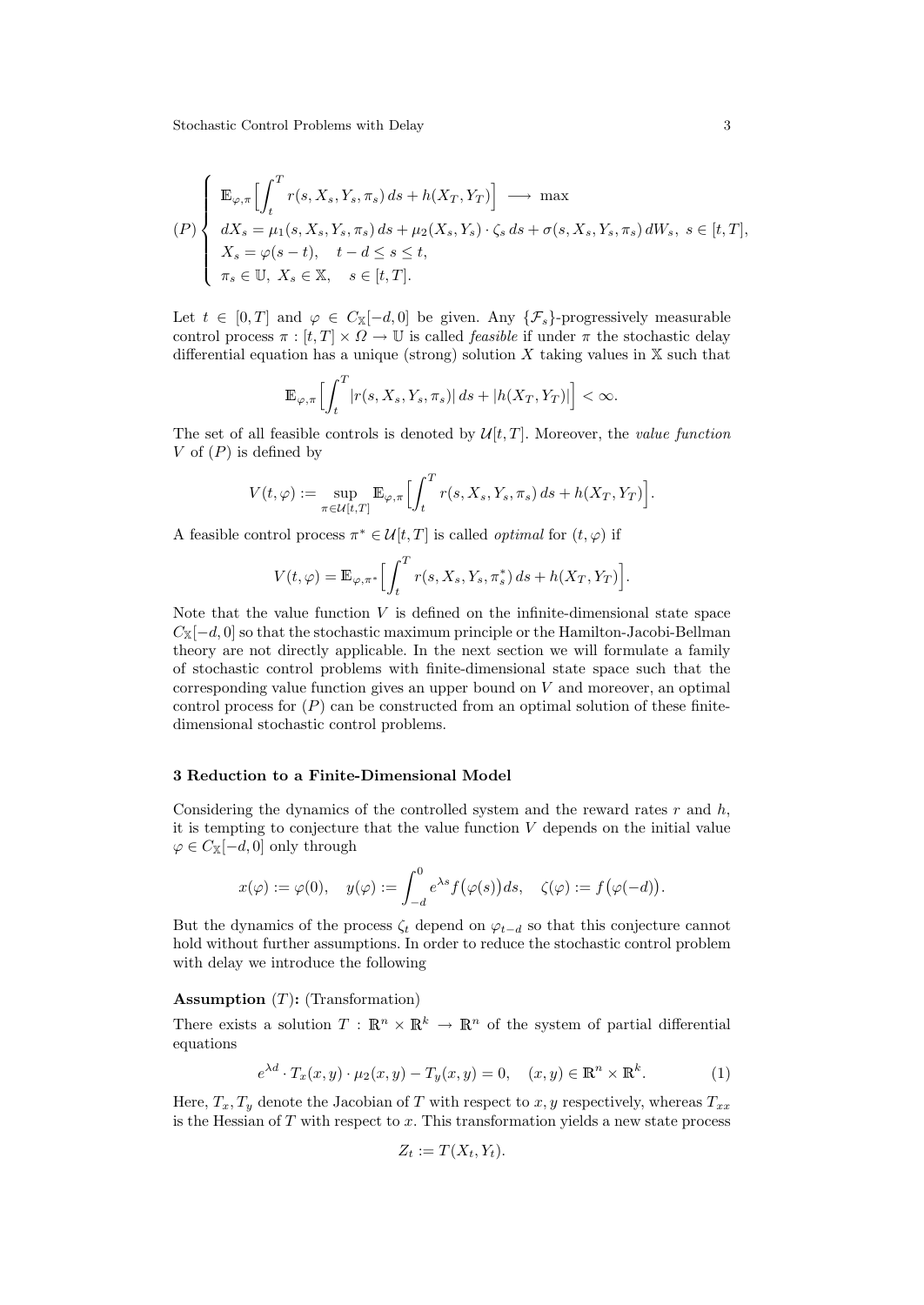$$
(P)\begin{cases} \mathbb{E}_{\varphi,\pi}\Big[\int_t^T r(s,X_s,Y_s,\pi_s) \, ds + h(X_T,Y_T)\Big] \longrightarrow \max \\ dX_s = \mu_1(s,X_s,Y_s,\pi_s) \, ds + \mu_2(X_s,Y_s) \cdot \zeta_s \, ds + \sigma(s,X_s,Y_s,\pi_s) \, dW_s, \ s \in [t,T], \\ X_s = \varphi(s-t), \quad t-d \le s \le t, \\ \pi_s \in \mathbb{U}, \ X_s \in \mathbb{X}, \quad s \in [t,T]. \end{cases}
$$

Let  $t \in [0, T]$  and  $\varphi \in C_{\mathbb{X}}[-d, 0]$  be given. Any  $\{\mathcal{F}_s\}$ -progressively measurable control process  $\pi : [t, T] \times \Omega \to \mathbb{U}$  is called *feasible* if under  $\pi$  the stochastic delay differential equation has a unique (strong) solution  $X$  taking values in  $X$  such that

$$
\mathbb{E}_{\varphi,\pi}\Big[\int_t^T \bigl|r(s,X_s,Y_s,\pi_s)\bigr|\,ds + |h(X_T,Y_T)|\Big] < \infty.
$$

The set of all feasible controls is denoted by  $\mathcal{U}[t, T]$ . Moreover, the value function V of  $(P)$  is defined by

$$
V(t,\varphi) := \sup_{\pi \in \mathcal{U}[t,T]} \mathbb{E}_{\varphi,\pi} \Bigl[ \int_t^T r(s,X_s,Y_s,\pi_s) \, ds + h(X_T,Y_T) \Bigr].
$$

A feasible control process  $\pi^* \in \mathcal{U}[t,T]$  is called *optimal* for  $(t,\varphi)$  if

$$
V(t,\varphi) = \mathbb{E}_{\varphi,\pi^*} \Big[ \int_t^T r(s,X_s,Y_s,\pi_s^*) ds + h(X_T,Y_T) \Big].
$$

Note that the value function  $V$  is defined on the infinite-dimensional state space  $C_{\mathbb{X}}[-d,0]$  so that the stochastic maximum principle or the Hamilton-Jacobi-Bellman theory are not directly applicable. In the next section we will formulate a family of stochastic control problems with finite-dimensional state space such that the corresponding value function gives an upper bound on  $V$  and moreover, an optimal control process for  $(P)$  can be constructed from an optimal solution of these finitedimensional stochastic control problems.

# 3 Reduction to a Finite-Dimensional Model

Considering the dynamics of the controlled system and the reward rates  $r$  and  $h$ , it is tempting to conjecture that the value function  $V$  depends on the initial value  $\varphi \in C_{\mathbb{X}}[-d,0]$  only through

$$
x(\varphi) := \varphi(0), \quad y(\varphi) := \int_{-d}^{0} e^{\lambda s} f(\varphi(s)) ds, \quad \zeta(\varphi) := f(\varphi(-d)).
$$

But the dynamics of the process  $\zeta_t$  depend on  $\varphi_{t-d}$  so that this conjecture cannot hold without further assumptions. In order to reduce the stochastic control problem with delay we introduce the following

#### **Assumption**  $(T)$ : (Transformation)

There exists a solution  $T : \mathbb{R}^n \times \mathbb{R}^k \to \mathbb{R}^n$  of the system of partial differential equations

$$
e^{\lambda d} \cdot T_x(x, y) \cdot \mu_2(x, y) - T_y(x, y) = 0, \quad (x, y) \in \mathbb{R}^n \times \mathbb{R}^k.
$$
 (1)

Here,  $T_x, T_y$  denote the Jacobian of T with respect to x, y respectively, whereas  $T_{xx}$ is the Hessian of  $T$  with respect to  $x$ . This transformation yields a new state process

$$
Z_t := T(X_t, Y_t).
$$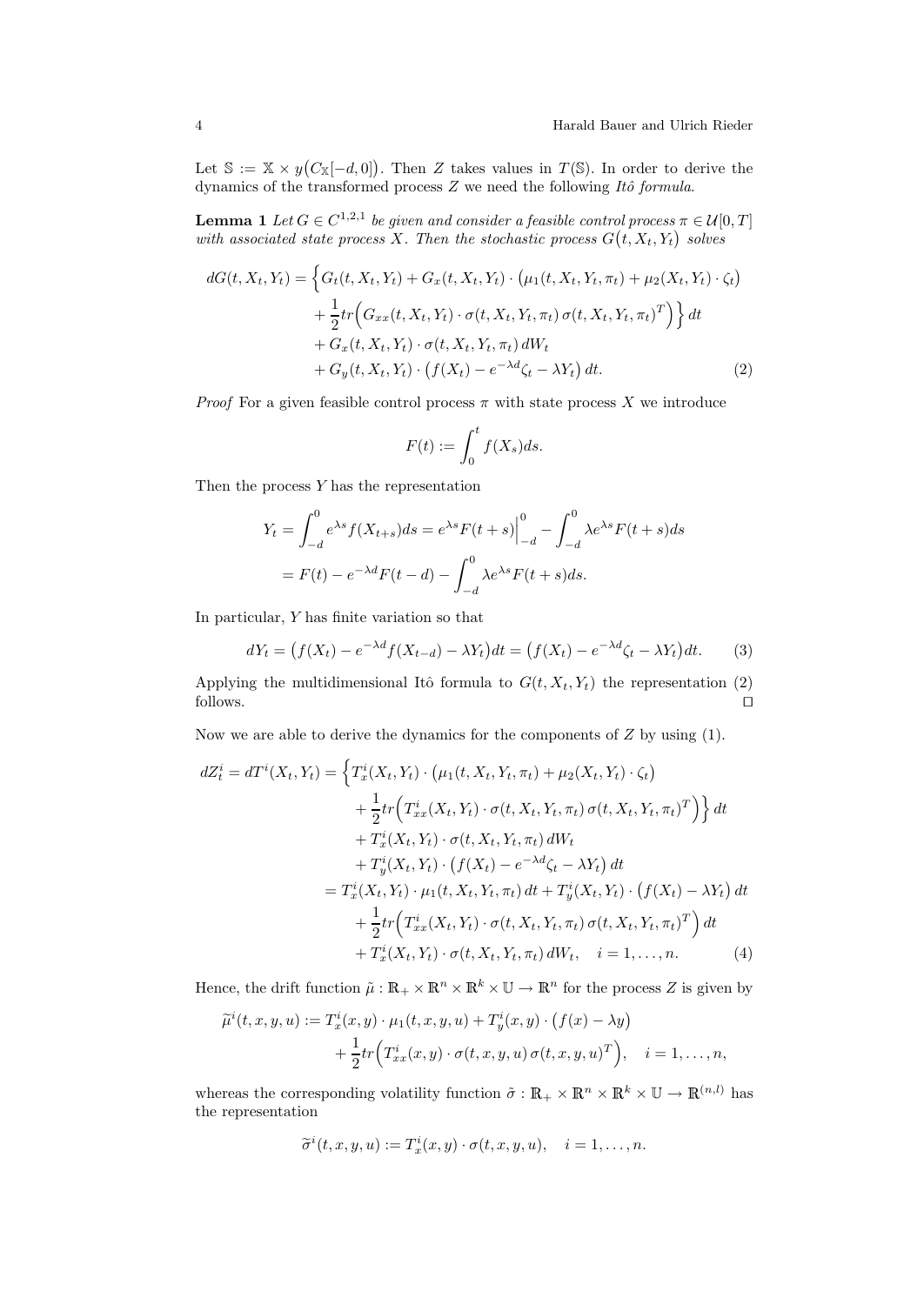Let  $\mathbb{S} := \mathbb{X} \times y(C_{\mathbb{X}}[-d,0])$ . Then Z takes values in  $T(\mathbb{S})$ . In order to derive the dynamics of the transformed process  $Z$  we need the following  $It\delta$  formula.

**Lemma 1** Let  $G \in C^{1,2,1}$  be given and consider a feasible control process  $\pi \in \mathcal{U}[0,T]$ with associated state process X. Then the stochastic process  $G(t, X_t, Y_t)$  solves

$$
dG(t, X_t, Y_t) = \left\{ G_t(t, X_t, Y_t) + G_x(t, X_t, Y_t) \cdot (\mu_1(t, X_t, Y_t, \pi_t) + \mu_2(X_t, Y_t) \cdot \zeta_t) + \frac{1}{2} tr \Big( G_{xx}(t, X_t, Y_t) \cdot \sigma(t, X_t, Y_t, \pi_t) \sigma(t, X_t, Y_t, \pi_t)^T \Big) \right\} dt + G_x(t, X_t, Y_t) \cdot \sigma(t, X_t, Y_t, \pi_t) dW_t + G_y(t, X_t, Y_t) \cdot (f(X_t) - e^{-\lambda d} \zeta_t - \lambda Y_t) dt.
$$
 (2)

*Proof* For a given feasible control process  $\pi$  with state process X we introduce

$$
F(t) := \int_0^t f(X_s)ds.
$$

Then the process Y has the representation

$$
Y_t = \int_{-d}^{0} e^{\lambda s} f(X_{t+s}) ds = e^{\lambda s} F(t+s) \Big|_{-d}^{0} - \int_{-d}^{0} \lambda e^{\lambda s} F(t+s) ds
$$

$$
= F(t) - e^{-\lambda d} F(t-d) - \int_{-d}^{0} \lambda e^{\lambda s} F(t+s) ds.
$$

In particular, Y has finite variation so that

$$
dY_t = (f(X_t) - e^{-\lambda d} f(X_{t-d}) - \lambda Y_t) dt = (f(X_t) - e^{-\lambda d} \zeta_t - \lambda Y_t) dt. \tag{3}
$$

Applying the multidimensional Itô formula to  $G(t, X_t, Y_t)$  the representation (2) follows. follows.  $\Box$ 

Now we are able to derive the dynamics for the components of  $Z$  by using (1).

$$
dZ_t^i = dT^i(X_t, Y_t) = \left\{ T_x^i(X_t, Y_t) \cdot (\mu_1(t, X_t, Y_t, \pi_t) + \mu_2(X_t, Y_t) \cdot \zeta_t) \right.+ \frac{1}{2} tr \left( T_{xx}^i(X_t, Y_t) \cdot \sigma(t, X_t, Y_t, \pi_t) \sigma(t, X_t, Y_t, \pi_t)^T \right) \right\} dt + T_x^i(X_t, Y_t) \cdot \sigma(t, X_t, Y_t, \pi_t) dW_t + T_y^i(X_t, Y_t) \cdot (f(X_t) - e^{-\lambda d} \zeta_t - \lambda Y_t) dt = T_x^i(X_t, Y_t) \cdot \mu_1(t, X_t, Y_t, \pi_t) dt + T_y^i(X_t, Y_t) \cdot (f(X_t) - \lambda Y_t) dt + \frac{1}{2} tr \left( T_{xx}^i(X_t, Y_t) \cdot \sigma(t, X_t, Y_t, \pi_t) \sigma(t, X_t, Y_t, \pi_t)^T \right) dt + T_x^i(X_t, Y_t) \cdot \sigma(t, X_t, Y_t, \pi_t) dW_t, \quad i = 1, ..., n.
$$
 (4)

Hence, the drift function  $\tilde{\mu}: \mathbb{R}_+ \times \mathbb{R}^n \times \mathbb{R}^k \times \mathbb{U} \to \mathbb{R}^n$  for the process Z is given by

$$
\widetilde{\mu}^i(t, x, y, u) := T_x^i(x, y) \cdot \mu_1(t, x, y, u) + T_y^i(x, y) \cdot (f(x) - \lambda y)
$$
  
+ 
$$
\frac{1}{2} tr(T_{xx}^i(x, y) \cdot \sigma(t, x, y, u) \sigma(t, x, y, u)^T), \quad i = 1, \dots, n,
$$

whereas the corresponding volatility function  $\tilde{\sigma}: \mathbb{R}_+ \times \mathbb{R}^n \times \mathbb{R}^k \times \mathbb{U} \to \mathbb{R}^{(n,l)}$  has the representation

$$
\widetilde{\sigma}^i(t,x,y,u) := T_x^i(x,y) \cdot \sigma(t,x,y,u), \quad i = 1,\ldots,n.
$$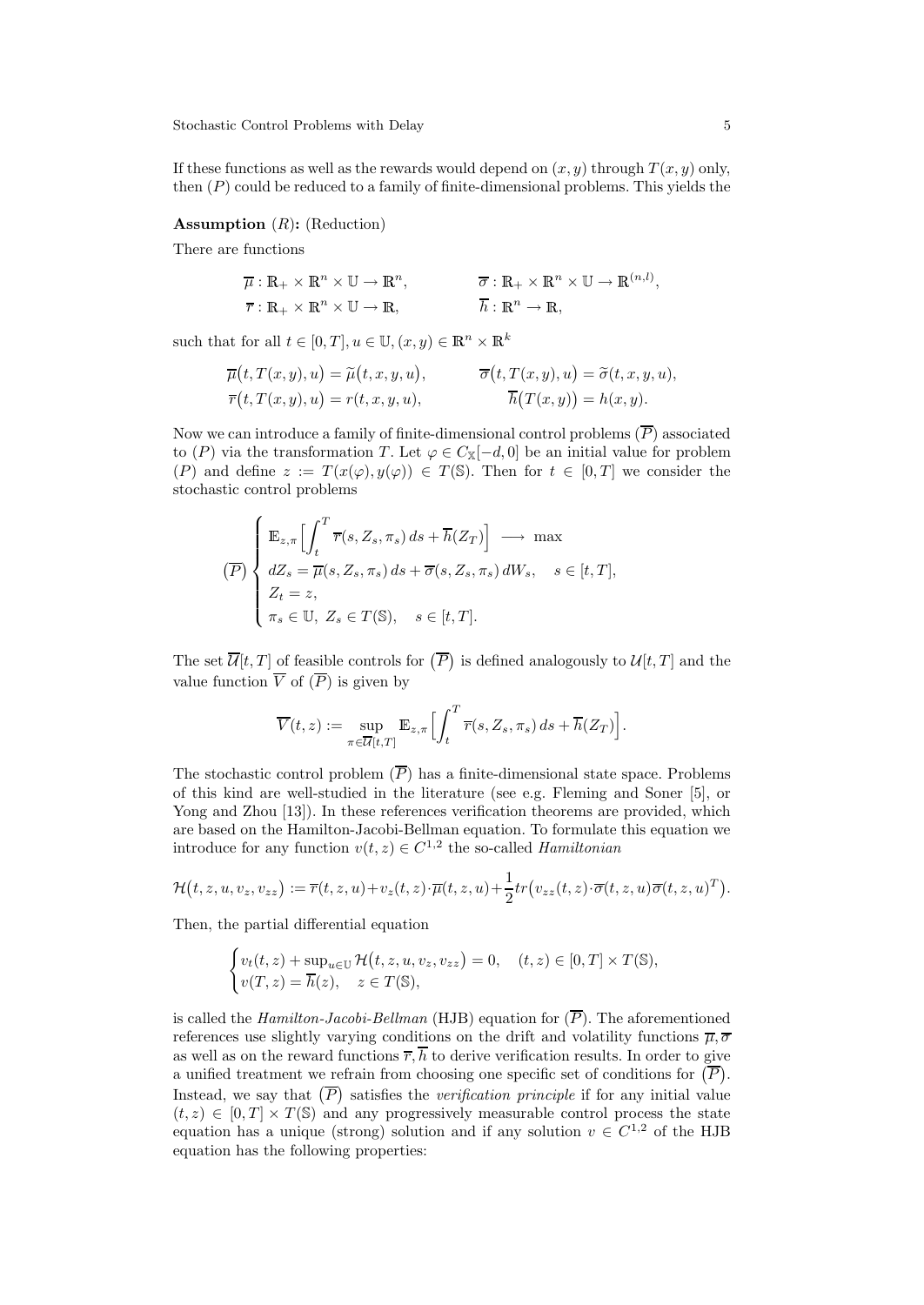If these functions as well as the rewards would depend on  $(x, y)$  through  $T(x, y)$  only, then  $(P)$  could be reduced to a family of finite-dimensional problems. This yields the

#### **Assumption**  $(R)$ : (Reduction)

There are functions

$$
\overline{\mu}: \mathbb{R}_{+} \times \mathbb{R}^{n} \times \mathbb{U} \to \mathbb{R}^{n}, \qquad \overline{\sigma}: \mathbb{R}_{+} \times \mathbb{R}^{n} \times \mathbb{U} \to \mathbb{R}^{(n,l)},
$$
  

$$
\overline{r}: \mathbb{R}_{+} \times \mathbb{R}^{n} \times \mathbb{U} \to \mathbb{R}, \qquad \overline{h}: \mathbb{R}^{n} \to \mathbb{R},
$$

such that for all  $t \in [0, T], u \in \mathbb{U}, (x, y) \in \mathbb{R}^n \times \mathbb{R}^k$ 

$$
\overline{\mu}(t, T(x, y), u) = \widetilde{\mu}(t, x, y, u), \qquad \overline{\sigma}(t, T(x, y), u) = \widetilde{\sigma}(t, x, y, u),
$$
  

$$
\overline{r}(t, T(x, y), u) = r(t, x, y, u), \qquad \overline{h}(T(x, y)) = h(x, y).
$$

Now we can introduce a family of finite-dimensional control problems  $(\overline{P})$  associated to (P) via the transformation T. Let  $\varphi \in C_{\mathbb{X}}[-d,0]$  be an initial value for problem (P) and define  $z := T(x(\varphi), y(\varphi)) \in T(\mathbb{S})$ . Then for  $t \in [0, T]$  we consider the stochastic control problems

$$
\overline{(P)} \begin{cases} \mathbb{E}_{z,\pi} \Big[ \int_t^T \overline{r}(s,Z_s,\pi_s) \, ds + \overline{h}(Z_T) \Big] \longrightarrow \max \\ dZ_s = \overline{\mu}(s,Z_s,\pi_s) \, ds + \overline{\sigma}(s,Z_s,\pi_s) \, dW_s, \quad s \in [t,T], \\ Z_t = z, \\ \pi_s \in \mathbb{U}, \ Z_s \in T(\mathbb{S}), \quad s \in [t,T]. \end{cases}
$$

The set  $\overline{\mathcal{U}}[t,T]$  of feasible controls for  $(\overline{P})$  is defined analogously to  $\mathcal{U}[t,T]$  and the value function  $\overline{V}$  of  $(\overline{P})$  is given by

$$
\overline{V}(t,z) := \sup_{\pi \in \overline{\mathcal{U}}[t,T]} \mathbb{E}_{z,\pi} \Big[ \int_t^T \overline{r}(s,Z_s,\pi_s) \, ds + \overline{h}(Z_T) \Big].
$$

The stochastic control problem  $(\overline{P})$  has a finite-dimensional state space. Problems of this kind are well-studied in the literature (see e.g. Fleming and Soner [5], or Yong and Zhou [13]). In these references verification theorems are provided, which are based on the Hamilton-Jacobi-Bellman equation. To formulate this equation we introduce for any function  $v(t, z) \in C^{1,2}$  the so-called *Hamiltonian* 

$$
\mathcal{H}(t,z,u,v_z,v_{zz}):=\overline{r}(t,z,u)+v_z(t,z)\cdot\overline{\mu}(t,z,u)+\frac{1}{2}tr(v_{zz}(t,z)\cdot\overline{\sigma}(t,z,u)\overline{\sigma}(t,z,u)^T).
$$

Then, the partial differential equation

$$
\begin{cases} v_t(t,z) + \sup_{u \in \mathbb{U}} \mathcal{H}(t,z,u,v_z,v_{zz}) = 0, & (t,z) \in [0,T] \times T(\mathbb{S}), \\ v(T,z) = \overline{h}(z), & z \in T(\mathbb{S}), \end{cases}
$$

is called the *Hamilton-Jacobi-Bellman* (HJB) equation for  $(\overline{P})$ . The aforementioned references use slightly varying conditions on the drift and volatility functions  $\overline{\mu}, \overline{\sigma}$ as well as on the reward functions  $\overline{r}, \overline{h}$  to derive verification results. In order to give a unified treatment we refrain from choosing one specific set of conditions for  $(\overline{P})$ . Instead, we say that  $(\overline{P})$  satisfies the *verification principle* if for any initial value  $(t, z) \in [0, T] \times T(\mathbb{S})$  and any progressively measurable control process the state equation has a unique (strong) solution and if any solution  $v \in C^{1,2}$  of the HJB equation has the following properties: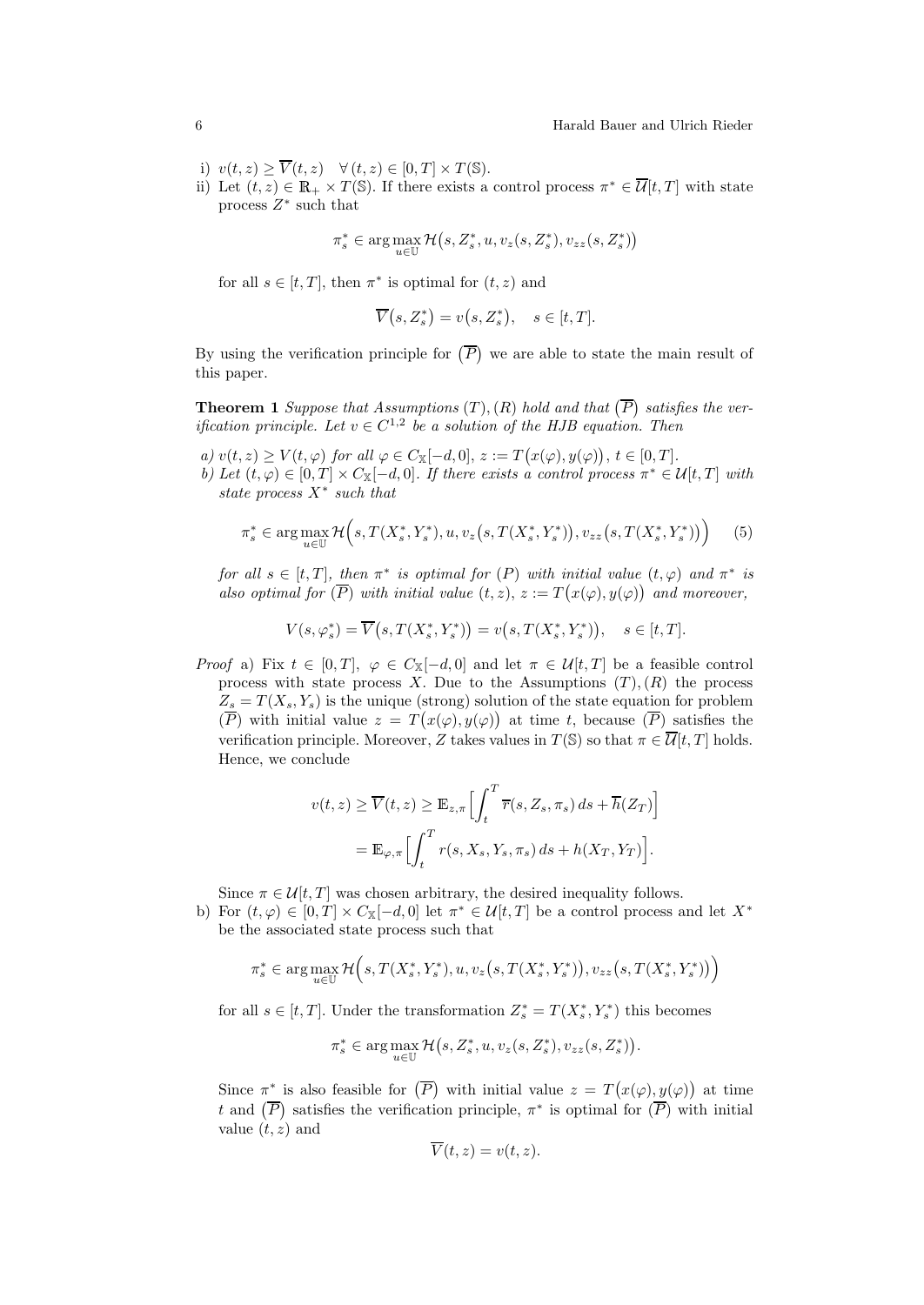- i)  $v(t, z) \geq \overline{V}(t, z) \quad \forall (t, z) \in [0, T] \times T(\mathbb{S}).$
- ii) Let  $(t, z) \in \mathbb{R}_+ \times T(\mathbb{S})$ . If there exists a control process  $\pi^* \in \overline{\mathcal{U}}[t, T]$  with state process  $Z^*$  such that

$$
\pi^*_s \in \arg\max_{u \in \mathbb{U}} \mathcal{H}\big(s,Z^*_s,u,v_z(s,Z^*_s),v_{zz}(s,Z^*_s)\big)
$$

for all  $s \in [t, T]$ , then  $\pi^*$  is optimal for  $(t, z)$  and

$$
\overline{V}(s, Z_s^*) = v(s, Z_s^*), \quad s \in [t, T].
$$

By using the verification principle for  $(\overline{P})$  we are able to state the main result of this paper.

**Theorem 1** Suppose that Assumptions  $(T)$ ,  $(R)$  hold and that  $(\overline{P})$  satisfies the verification principle. Let  $v \in C^{1,2}$  be a solution of the HJB equation. Then

a)  $v(t, z) \geq V(t, \varphi)$  for all  $\varphi \in C_{\mathbb{X}}[-d, 0], z := T(x(\varphi), y(\varphi)), t \in [0, T].$ b) Let  $(t, \varphi) \in [0, T] \times C_{\mathbb{X}}[-d, 0]$ . If there exists a control process  $\pi^* \in \mathcal{U}[t, T]$  with state process  $X^*$  such that

$$
\pi_s^* \in \arg\max_{u \in \mathbb{U}} \mathcal{H}\Big(s, T(X_s^*, Y_s^*), u, v_z\big(s, T(X_s^*, Y_s^*)\big), v_{zz}\big(s, T(X_s^*, Y_s^*)\big)\Big) \tag{5}
$$

for all  $s \in [t, T]$ , then  $\pi^*$  is optimal for  $(P)$  with initial value  $(t, \varphi)$  and  $\pi^*$  is also optimal for  $(\overline{P})$  with initial value  $(t, z)$ ,  $z := T(x(\varphi), y(\varphi))$  and moreover,

$$
V(s,\varphi_s^*) = \overline{V}\big(s,T(X_s^*,Y_s^*)\big) = v\big(s,T(X_s^*,Y_s^*)\big), \quad s \in [t,T].
$$

*Proof* a) Fix  $t \in [0, T]$ ,  $\varphi \in C_{\mathbb{X}}[-d, 0]$  and let  $\pi \in \mathcal{U}[t, T]$  be a feasible control process with state process X. Due to the Assumptions  $(T), (R)$  the process  $Z_s = T(X_s, Y_s)$  is the unique (strong) solution of the state equation for problem  $(\overline{P})$  with initial value  $z = T(x(\varphi), y(\varphi))$  at time t, because  $(\overline{P})$  satisfies the verification principle. Moreover, Z takes values in  $T(\mathbb{S})$  so that  $\pi \in \overline{\mathcal{U}}[t, T]$  holds. Hence, we conclude

$$
v(t, z) \ge \overline{V}(t, z) \ge \mathbb{E}_{z, \pi} \Big[ \int_t^T \overline{r}(s, Z_s, \pi_s) ds + \overline{h}(Z_T) \Big]
$$
  
=  $\mathbb{E}_{\varphi, \pi} \Big[ \int_t^T r(s, X_s, Y_s, \pi_s) ds + h(X_T, Y_T) \Big].$ 

Since  $\pi \in \mathcal{U}[t,T]$  was chosen arbitrary, the desired inequality follows.

b) For  $(t, \varphi) \in [0, T] \times C_{\mathbb{X}}[-d, 0]$  let  $\pi^* \in \mathcal{U}[t, T]$  be a control process and let  $X^*$ be the associated state process such that

$$
\pi_s^* \in \arg\max_{u \in \mathbb{U}} \mathcal{H}\Big(s, T(X_s^*, Y_s^*), u, v_z(s, T(X_s^*, Y_s^*)), v_{zz}(s, T(X_s^*, Y_s^*))\Big)
$$

for all  $s \in [t, T]$ . Under the transformation  $Z_s^* = T(X_s^*, Y_s^*)$  this becomes

$$
\pi_s^* \in \arg\max_{u \in \mathbb{U}} \mathcal{H}\big(s, Z_s^*, u, v_z(s, Z_s^*), v_{zz}(s, Z_s^*)\big).
$$

Since  $\pi^*$  is also feasible for  $(\overline{P})$  with initial value  $z = T(x(\varphi), y(\varphi))$  at time t and  $(\overline{P})$  satisfies the verification principle,  $\pi^*$  is optimal for  $(\overline{P})$  with initial value  $(t, z)$  and

$$
\overline{V}(t,z) = v(t,z).
$$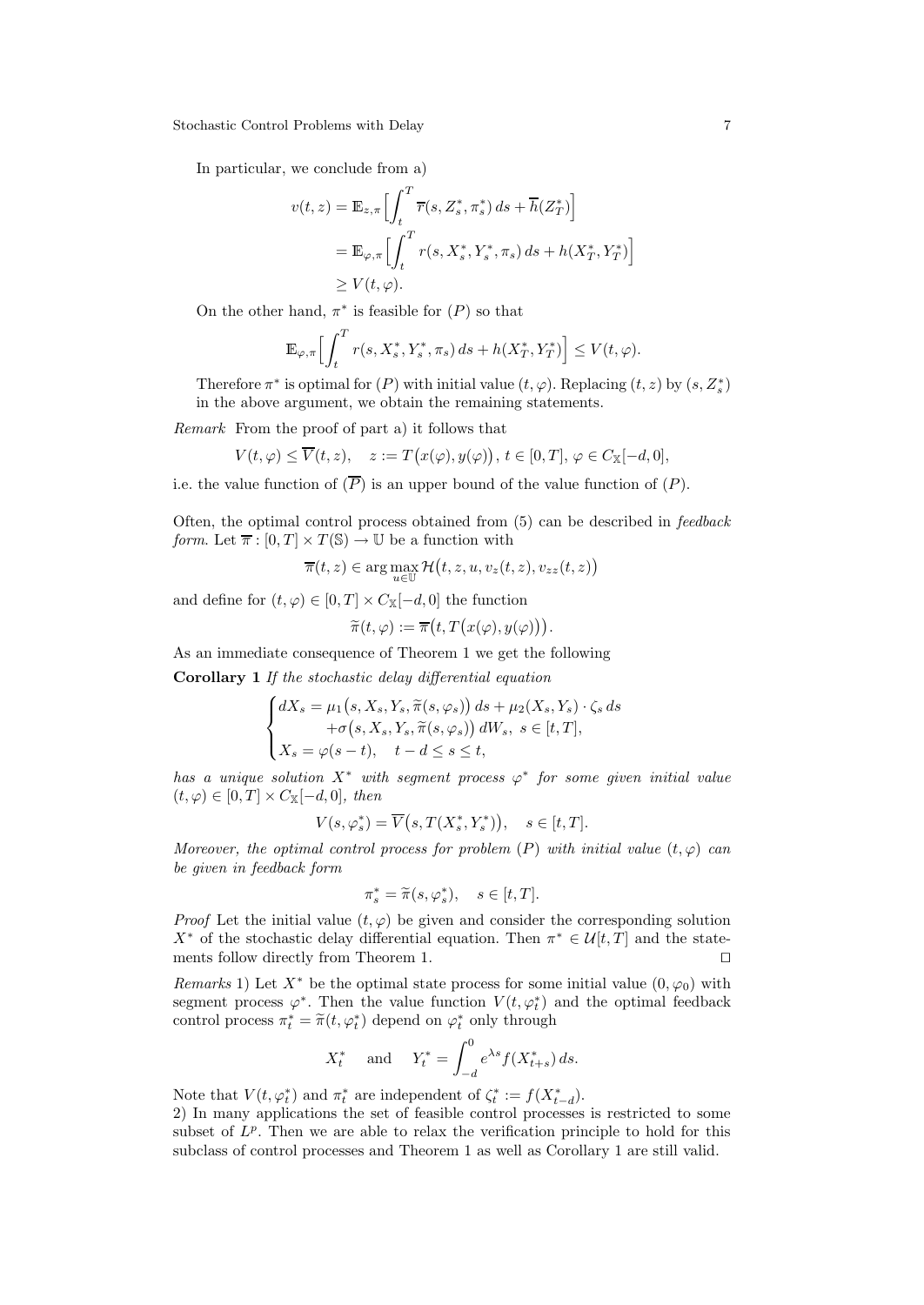In particular, we conclude from a)

$$
v(t, z) = \mathbb{E}_{z, \pi} \Big[ \int_t^T \overline{r}(s, Z_s^*, \pi_s^*) ds + \overline{h}(Z_T^*) \Big]
$$
  
= 
$$
\mathbb{E}_{\varphi, \pi} \Big[ \int_t^T r(s, X_s^*, Y_s^*, \pi_s) ds + h(X_T^*, Y_T^*) \Big]
$$
  

$$
\geq V(t, \varphi).
$$

On the other hand,  $\pi^*$  is feasible for  $(P)$  so that

$$
\mathbb{E}_{\varphi,\pi}\Big[\int_t^T r(s,X_s^*,Y_s^*,\pi_s)\,ds + h(X_T^*,Y_T^*)\Big] \le V(t,\varphi).
$$

Therefore  $\pi^*$  is optimal for  $(P)$  with initial value  $(t, \varphi)$ . Replacing  $(t, z)$  by  $(s, Z_s^*)$ in the above argument, we obtain the remaining statements.

Remark From the proof of part a) it follows that

$$
V(t,\varphi)\leq \overline{V}(t,z),\quad z:=T\big(x(\varphi),y(\varphi)\big),\,t\in[0,T],\,\varphi\in C_{\mathbb{X}}[-d,0],
$$

i.e. the value function of  $(\overline{P})$  is an upper bound of the value function of  $(P)$ .

Often, the optimal control process obtained from (5) can be described in feedback form. Let  $\overline{\pi} : [0, T] \times T(\mathbb{S}) \to \mathbb{U}$  be a function with

$$
\overline{\pi}(t,z) \in \arg\max_{u \in \mathbb{U}} \mathcal{H}(t,z,u,v_z(t,z),v_{zz}(t,z))
$$

and define for  $(t, \varphi) \in [0, T] \times C_{\mathbb{X}}[-d, 0]$  the function

$$
\widetilde{\pi}(t,\varphi) := \overline{\pi}\big(t,T\big(x(\varphi),y(\varphi)\big)\big).
$$

As an immediate consequence of Theorem 1 we get the following

Corollary 1 If the stochastic delay differential equation

$$
\begin{cases} dX_s = \mu_1(s, X_s, Y_s, \widetilde{\pi}(s, \varphi_s)) ds + \mu_2(X_s, Y_s) \cdot \zeta_s ds \\ \quad + \sigma(s, X_s, Y_s, \widetilde{\pi}(s, \varphi_s)) dW_s, \ s \in [t, T], \\ X_s = \varphi(s - t), \quad t - d \le s \le t, \end{cases}
$$

has a unique solution  $X^*$  with segment process  $\varphi^*$  for some given initial value  $(t, \varphi) \in [0, T] \times C_{\mathbb{X}}[-d, 0],$  then

$$
V(s, \varphi_s^*) = \overline{V}\big(s, T(X_s^*, Y_s^*)\big), \quad s \in [t, T].
$$

Moreover, the optimal control process for problem  $(P)$  with initial value  $(t, \varphi)$  can be given in feedback form

$$
\pi_s^* = \widetilde{\pi}(s, \varphi_s^*), \quad s \in [t, T].
$$

*Proof* Let the initial value  $(t, \varphi)$  be given and consider the corresponding solution X<sup>\*</sup> of the stochastic delay differential equation. Then  $\pi^* \in \mathcal{U}[t,T]$  and the statements follow directly from Theorem 1.  $\Box$ 

Remarks 1) Let  $X^*$  be the optimal state process for some initial value  $(0, \varphi_0)$  with segment process  $\varphi^*$ . Then the value function  $V(t, \varphi_t^*)$  and the optimal feedback control process  $\pi_t^* = \tilde{\pi}(t, \varphi_t^*)$  depend on  $\varphi_t^*$  only through

$$
X_t^*
$$
 and  $Y_t^* = \int_{-d}^0 e^{\lambda s} f(X_{t+s}^*) ds.$ 

Note that  $V(t, \varphi_t^*)$  and  $\pi_t^*$  are independent of  $\zeta_t^* := f(X_{t-d}^*)$ .

2) In many applications the set of feasible control processes is restricted to some subset of  $L^p$ . Then we are able to relax the verification principle to hold for this subclass of control processes and Theorem 1 as well as Corollary 1 are still valid.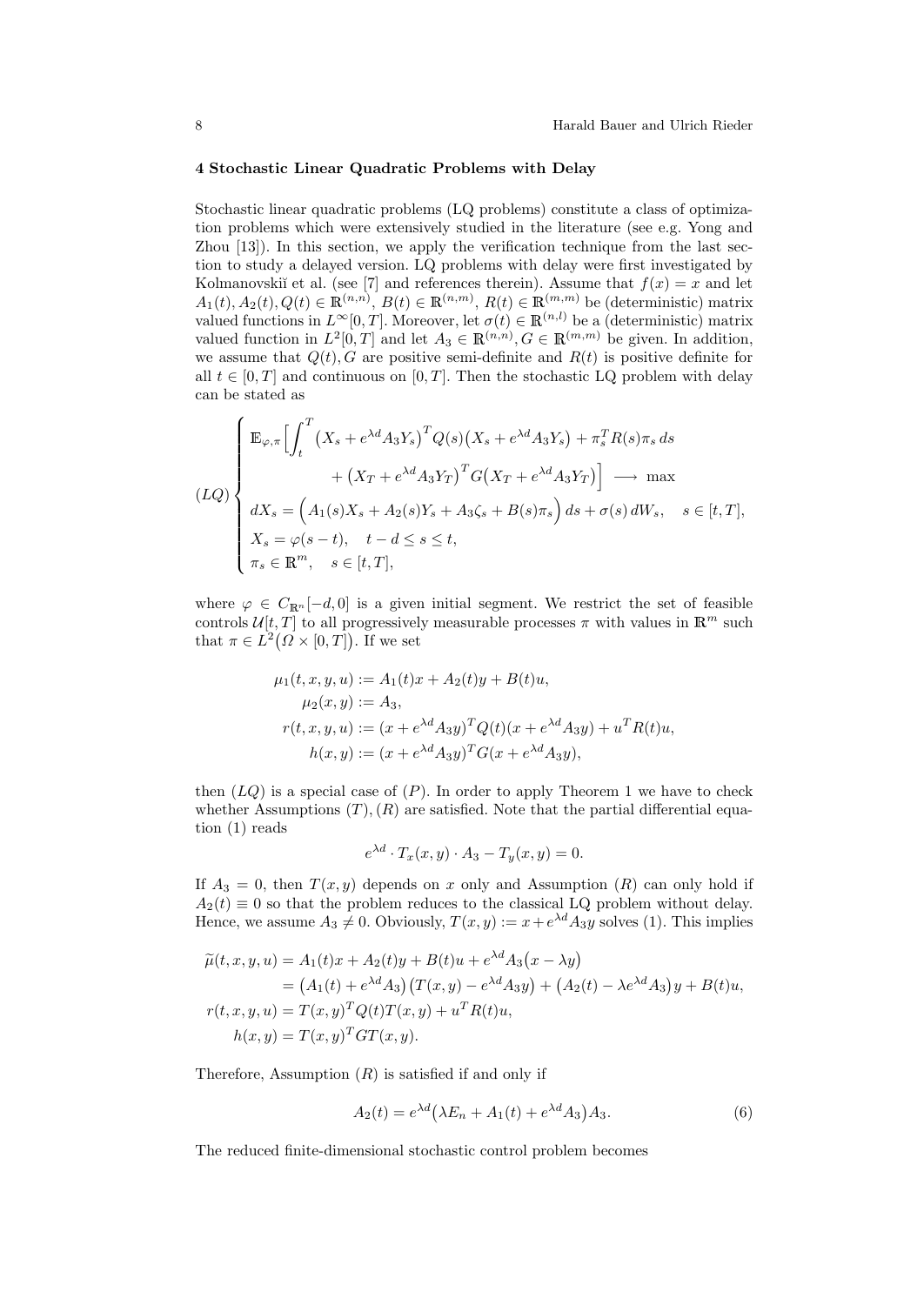### 4 Stochastic Linear Quadratic Problems with Delay

Stochastic linear quadratic problems (LQ problems) constitute a class of optimization problems which were extensively studied in the literature (see e.g. Yong and Zhou [13]). In this section, we apply the verification technique from the last section to study a delayed version. LQ problems with delay were first investigated by Kolmanovskiı̆ et al. (see [7] and references therein). Assume that  $f(x) = x$  and let  $A_1(t), A_2(t), Q(t) \in \mathbb{R}^{(n,n)}, B(t) \in \mathbb{R}^{(n,m)}, R(t) \in \mathbb{R}^{(m,m)}$  be (deterministic) matrix valued functions in  $L^{\infty}[0,T]$ . Moreover, let  $\sigma(t) \in \mathbb{R}^{(n,l)}$  be a (deterministic) matrix valued function in  $L^2[0,T]$  and let  $A_3 \in \mathbb{R}^{(n,n)}$ ,  $G \in \mathbb{R}^{(m,m)}$  be given. In addition, we assume that  $Q(t)$ , G are positive semi-definite and  $R(t)$  is positive definite for all  $t \in [0, T]$  and continuous on  $[0, T]$ . Then the stochastic LQ problem with delay can be stated as

$$
(LQ)\n\begin{cases}\n\mathbb{E}_{\varphi,\pi}\left[\int_t^T \left(X_s + e^{\lambda d} A_3 Y_s\right)^T Q(s) \left(X_s + e^{\lambda d} A_3 Y_s\right) + \pi_s^T R(s) \pi_s ds\n\end{cases} + \left(X_T + e^{\lambda d} A_3 Y_T\right)^T G\left(X_T + e^{\lambda d} A_3 Y_T\right)\right] \longrightarrow \max\n\begin{cases}\ndX_s = \left(A_1(s)X_s + A_2(s)Y_s + A_3\zeta_s + B(s)\pi_s\right)ds + \sigma(s) dW_s, \quad s \in [t, T], \\
X_s = \varphi(s - t), \quad t - d \le s \le t, \\
\pi_s \in \mathbb{R}^m, \quad s \in [t, T],\n\end{cases}
$$

where  $\varphi \in C_{\mathbb{R}^n}[-d,0]$  is a given initial segment. We restrict the set of feasible controls  $\mathcal{U}[t, T]$  to all progressively measurable processes  $\pi$  with values in  $\mathbb{R}^m$  such that  $\pi \in L^2(\Omega \times [0,T])$ . If we set

$$
\mu_1(t, x, y, u) := A_1(t)x + A_2(t)y + B(t)u,\n\mu_2(x, y) := A_3,\nr(t, x, y, u) := (x + e^{\lambda d} A_3 y)^T Q(t) (x + e^{\lambda d} A_3 y) + u^T R(t)u,\nh(x, y) := (x + e^{\lambda d} A_3 y)^T G(x + e^{\lambda d} A_3 y),
$$

then  $(LQ)$  is a special case of  $(P)$ . In order to apply Theorem 1 we have to check whether Assumptions  $(T)$ ,  $(R)$  are satisfied. Note that the partial differential equation (1) reads

$$
e^{\lambda d} \cdot T_x(x, y) \cdot A_3 - T_y(x, y) = 0.
$$

If  $A_3 = 0$ , then  $T(x, y)$  depends on x only and Assumption  $(R)$  can only hold if  $A_2(t) \equiv 0$  so that the problem reduces to the classical LQ problem without delay. Hence, we assume  $A_3 \neq 0$ . Obviously,  $T(x, y) := x + e^{\lambda d} A_3 y$  solves (1). This implies

$$
\tilde{\mu}(t, x, y, u) = A_1(t)x + A_2(t)y + B(t)u + e^{\lambda d}A_3(x - \lambda y) \n= (A_1(t) + e^{\lambda d}A_3) (T(x, y) - e^{\lambda d}A_3y) + (A_2(t) - \lambda e^{\lambda d}A_3)y + B(t)u, \nr(t, x, y, u) = T(x, y)^T Q(t) T(x, y) + u^T R(t)u, \nh(x, y) = T(x, y)^T GT(x, y).
$$

Therefore, Assumption  $(R)$  is satisfied if and only if

$$
A_2(t) = e^{\lambda d} \left(\lambda E_n + A_1(t) + e^{\lambda d} A_3\right) A_3. \tag{6}
$$

The reduced finite-dimensional stochastic control problem becomes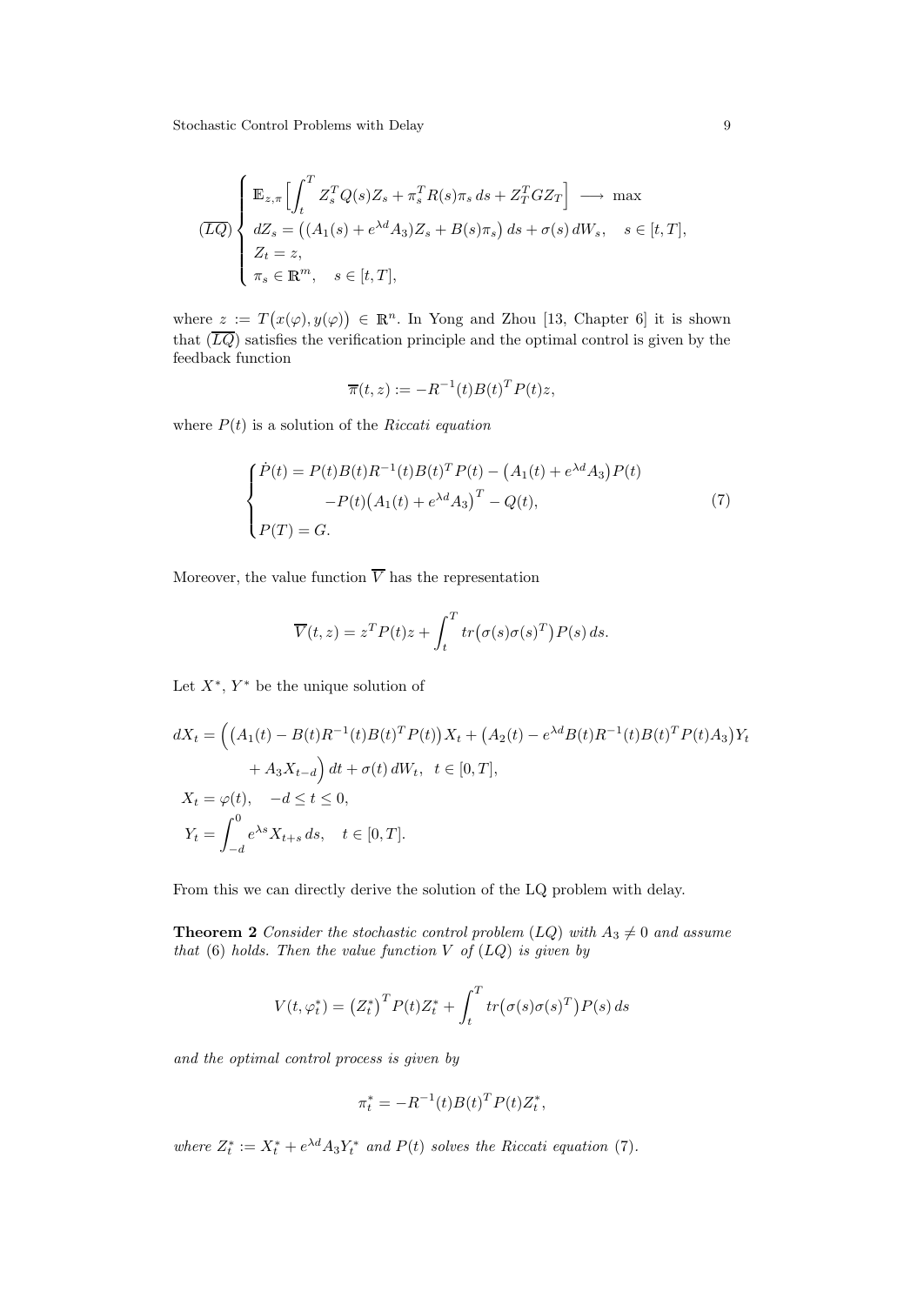$$
\overline{(LQ)} \begin{cases} \mathbb{E}_{z,\pi} \Big[ \int_t^T Z_s^T Q(s) Z_s + \pi_s^T R(s) \pi_s ds + Z_T^T G Z_T \Big] \longrightarrow \max \\ dZ_s = \left( (A_1(s) + e^{\lambda d} A_3) Z_s + B(s) \pi_s \right) ds + \sigma(s) dW_s, \quad s \in [t, T], \\ Z_t = z, \\ \pi_s \in \mathbb{R}^m, \quad s \in [t, T], \end{cases}
$$

where  $z := T(x(\varphi), y(\varphi)) \in \mathbb{R}^n$ . In Yong and Zhou [13, Chapter 6] it is shown that  $(\overline{LQ})$  satisfies the verification principle and the optimal control is given by the feedback function

$$
\overline{\pi}(t,z) := -R^{-1}(t)B(t)^T P(t)z,
$$

where  $P(t)$  is a solution of the Riccati equation

$$
\begin{cases}\n\dot{P}(t) = P(t)B(t)R^{-1}(t)B(t)^T P(t) - (A_1(t) + e^{\lambda d}A_3)P(t) \\
-P(t) (A_1(t) + e^{\lambda d}A_3)^T - Q(t), \\
P(T) = G.\n\end{cases} (7)
$$

Moreover, the value function  $\overline{V}$  has the representation

$$
\overline{V}(t,z) = z^T P(t)z + \int_t^T tr(\sigma(s)\sigma(s)^T)P(s) ds.
$$

Let  $X^*$ ,  $Y^*$  be the unique solution of

$$
dX_t = ((A_1(t) - B(t)R^{-1}(t)B(t)^T P(t))X_t + (A_2(t) - e^{\lambda d}B(t)R^{-1}(t)B(t)^T P(t)A_3)Y_t + A_3X_{t-d} dt + \sigma(t) dW_t, \ t \in [0, T],
$$
  

$$
X_t = \varphi(t), \quad -d \le t \le 0,
$$
  

$$
Y_t = \int_{-d}^{0} e^{\lambda s} X_{t+s} ds, \quad t \in [0, T].
$$

From this we can directly derive the solution of the LQ problem with delay.

**Theorem 2** Consider the stochastic control problem  $(LQ)$  with  $A_3 \neq 0$  and assume that  $(6)$  holds. Then the value function V of  $(LQ)$  is given by

$$
V(t, \varphi_t^*) = (Z_t^*)^T P(t) Z_t^* + \int_t^T tr(\sigma(s)\sigma(s)^T) P(s) ds
$$

and the optimal control process is given by

$$
\pi^*_t = - R^{-1}(t) B(t)^T P(t) Z^*_t,
$$

where  $Z_t^* := X_t^* + e^{\lambda d} A_3 Y_t^*$  and  $P(t)$  solves the Riccati equation (7).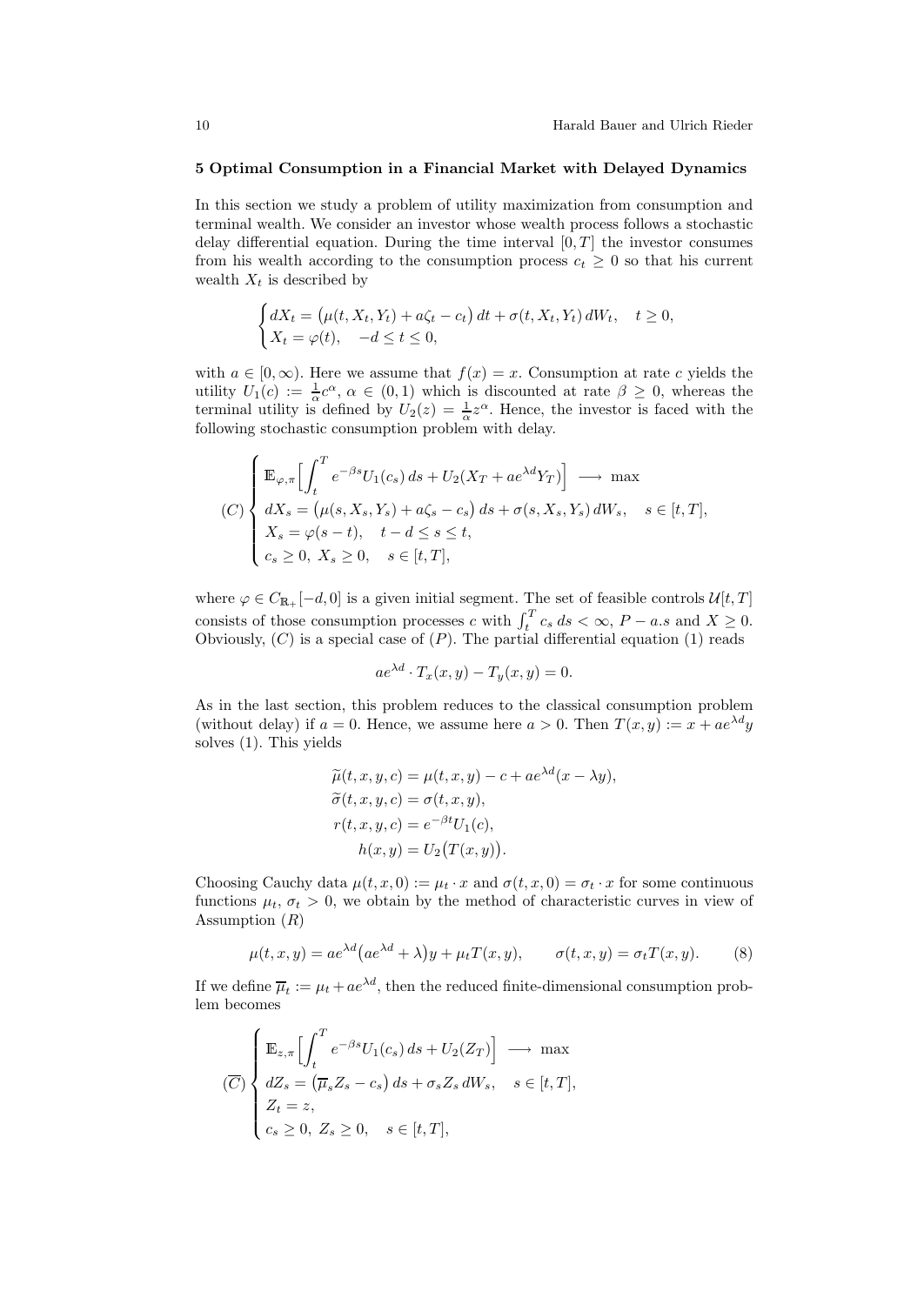#### 5 Optimal Consumption in a Financial Market with Delayed Dynamics

In this section we study a problem of utility maximization from consumption and terminal wealth. We consider an investor whose wealth process follows a stochastic delay differential equation. During the time interval  $[0, T]$  the investor consumes from his wealth according to the consumption process  $c_t \geq 0$  so that his current wealth  $X_t$  is described by

$$
\begin{cases} dX_t = \left(\mu(t, X_t, Y_t) + a\zeta_t - c_t\right)dt + \sigma(t, X_t, Y_t) dW_t, \quad t \ge 0, \\ X_t = \varphi(t), \quad -d \le t \le 0, \end{cases}
$$

with  $a \in [0, \infty)$ . Here we assume that  $f(x) = x$ . Consumption at rate c yields the utility  $U_1(c) := \frac{1}{\alpha}c^{\alpha}, \alpha \in (0,1)$  which is discounted at rate  $\beta \geq 0$ , whereas the terminal utility is defined by  $U_2(z) = \frac{1}{\alpha} z^{\alpha}$ . Hence, the investor is faced with the following stochastic consumption problem with delay.

$$
(C)\begin{cases} \mathbb{E}_{\varphi,\pi}\Big[\int_t^T e^{-\beta s}U_1(c_s)\,ds + U_2(X_T + ae^{\lambda d}Y_T)\Big] \longrightarrow \max\\ dX_s = \big(\mu(s,X_s,Y_s) + a\zeta_s - c_s\big)\,ds + \sigma(s,X_s,Y_s)\,dW_s, \quad s \in [t,T],\\ X_s = \varphi(s-t), \quad t - d \le s \le t,\\ c_s \ge 0, \quad X_s \ge 0, \quad s \in [t,T], \end{cases}
$$

where  $\varphi \in C_{\mathbb{R}_+}[-d, 0]$  is a given initial segment. The set of feasible controls  $\mathcal{U}[t, T]$ consists of those consumption processes c with  $\int_t^T c_s ds < \infty$ ,  $P - a.s$  and  $X \ge 0$ . Obviously,  $(C)$  is a special case of  $(P)$ . The partial differential equation  $(1)$  reads

$$
ae^{\lambda d} \cdot T_x(x, y) - T_y(x, y) = 0.
$$

As in the last section, this problem reduces to the classical consumption problem (without delay) if  $a = 0$ . Hence, we assume here  $a > 0$ . Then  $T(x, y) := x + ae^{\lambda d}y$ solves (1). This yields

$$
\widetilde{\mu}(t, x, y, c) = \mu(t, x, y) - c + ae^{\lambda d}(x - \lambda y), \n\widetilde{\sigma}(t, x, y, c) = \sigma(t, x, y), \nr(t, x, y, c) = e^{-\beta t}U_1(c), \nh(x, y) = U_2(T(x, y)).
$$

Choosing Cauchy data  $\mu(t, x, 0) := \mu_t \cdot x$  and  $\sigma(t, x, 0) = \sigma_t \cdot x$  for some continuous functions  $\mu_t$ ,  $\sigma_t > 0$ , we obtain by the method of characteristic curves in view of Assumption  $(R)$ 

$$
\mu(t, x, y) = ae^{\lambda d} \left( ae^{\lambda d} + \lambda \right) y + \mu_t T(x, y), \qquad \sigma(t, x, y) = \sigma_t T(x, y). \tag{8}
$$

If we define  $\overline{\mu}_t := \mu_t + ae^{\lambda d}$ , then the reduced finite-dimensional consumption problem becomes

$$
\overline{(C)} \begin{cases} \mathbb{E}_{z,\pi} \Big[ \int_t^T e^{-\beta s} U_1(c_s) \, ds + U_2(Z_T) \Big] \longrightarrow \max \\ dZ_s = (\overline{\mu}_s Z_s - c_s) \, ds + \sigma_s Z_s \, dW_s, \quad s \in [t, T], \\ Z_t = z, \\ c_s \ge 0, \ Z_s \ge 0, \quad s \in [t, T], \end{cases}
$$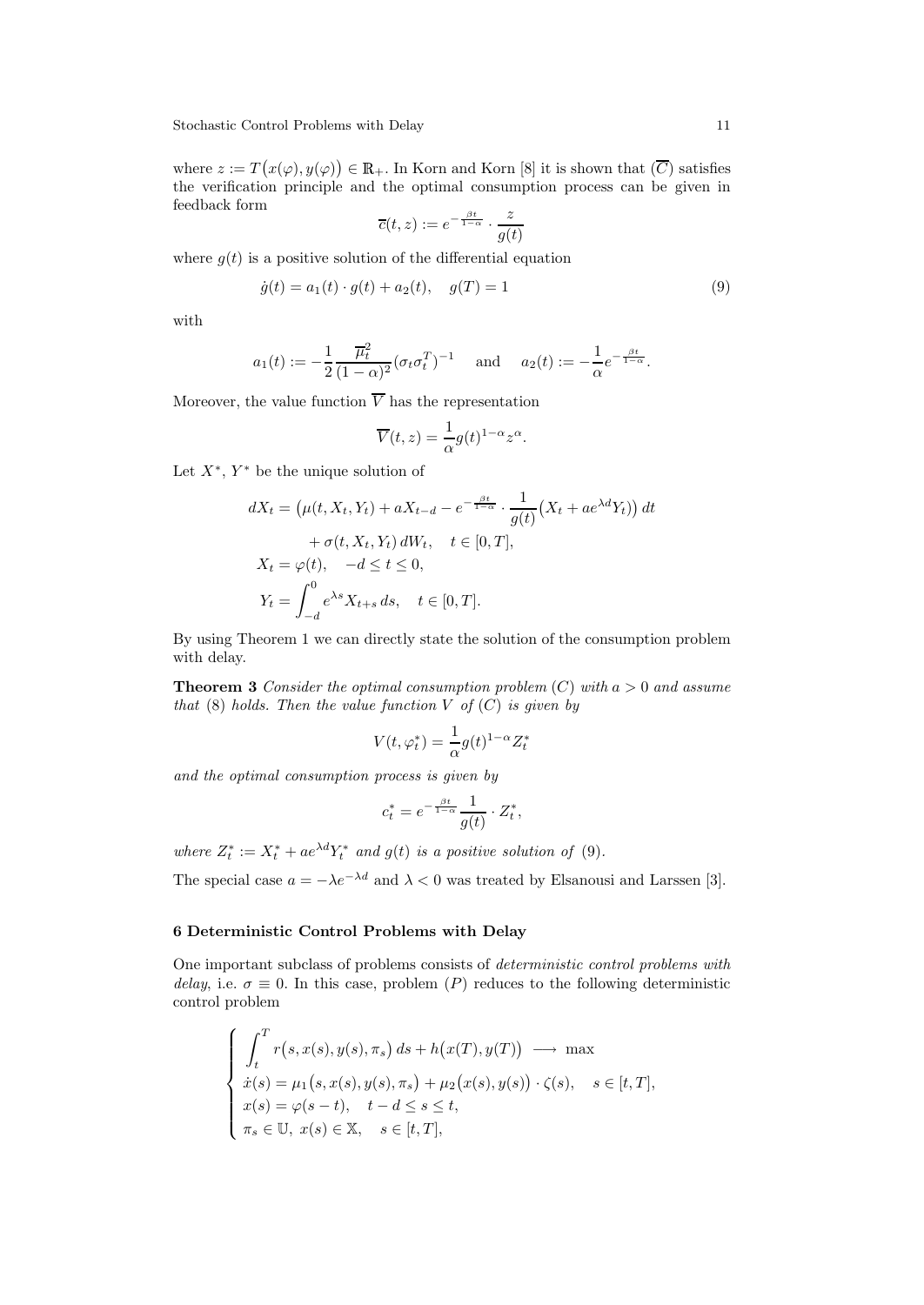where  $z := T(x(\varphi), y(\varphi)) \in \mathbb{R}_+$ . In Korn and Korn [8] it is shown that  $(\overline{C})$  satisfies the verification principle and the optimal consumption process can be given in feedback form

$$
\overline{c}(t,z) := e^{-\frac{\beta t}{1-\alpha}} \cdot \frac{z}{g(t)}
$$

where  $g(t)$  is a positive solution of the differential equation

$$
\dot{g}(t) = a_1(t) \cdot g(t) + a_2(t), \quad g(T) = 1 \tag{9}
$$

with

$$
a_1(t) := -\frac{1}{2} \frac{\overline{\mu}_t^2}{(1-\alpha)^2} (\sigma_t \sigma_t^T)^{-1}
$$
 and  $a_2(t) := -\frac{1}{\alpha} e^{-\frac{\beta t}{1-\alpha}}$ .

Moreover, the value function  $\overline{V}$  has the representation

$$
\overline{V}(t,z) = \frac{1}{\alpha}g(t)^{1-\alpha}z^{\alpha}.
$$

Let  $X^*$ ,  $Y^*$  be the unique solution of

$$
dX_t = \left(\mu(t, X_t, Y_t) + aX_{t-d} - e^{-\frac{\beta t}{1-\alpha}} \cdot \frac{1}{g(t)} \left(X_t + ae^{\lambda d}Y_t\right)\right) dt
$$
  
+  $\sigma(t, X_t, Y_t) dW_t, \quad t \in [0, T],$   

$$
X_t = \varphi(t), \quad -d \le t \le 0,
$$
  

$$
Y_t = \int_{-d}^0 e^{\lambda s} X_{t+s} ds, \quad t \in [0, T].
$$

By using Theorem 1 we can directly state the solution of the consumption problem with delay.

**Theorem 3** Consider the optimal consumption problem  $(C)$  with  $a > 0$  and assume that  $(8)$  holds. Then the value function V of  $(C)$  is given by

$$
V(t, \varphi_t^*) = \frac{1}{\alpha} g(t)^{1-\alpha} Z_t^*
$$

and the optimal consumption process is given by

$$
c_t^* = e^{-\frac{\beta t}{1-\alpha}} \frac{1}{g(t)} \cdot Z_t^*,
$$

where  $Z_t^* := X_t^* + ae^{\lambda d} Y_t^*$  and  $g(t)$  is a positive solution of (9).

The special case  $a = -\lambda e^{-\lambda d}$  and  $\lambda < 0$  was treated by Elsanousi and Larssen [3].

## 6 Deterministic Control Problems with Delay

One important subclass of problems consists of deterministic control problems with delay, i.e.  $\sigma \equiv 0$ . In this case, problem (P) reduces to the following deterministic control problem

$$
\begin{cases}\n\int_t^T r(s, x(s), y(s), \pi_s) ds + h(x(T), y(T)) \longrightarrow \max \\
\dot{x}(s) = \mu_1(s, x(s), y(s), \pi_s) + \mu_2(x(s), y(s)) \cdot \zeta(s), \quad s \in [t, T], \\
x(s) = \varphi(s - t), \quad t - d \le s \le t, \\
\pi_s \in \mathbb{U}, x(s) \in \mathbb{X}, \quad s \in [t, T],\n\end{cases}
$$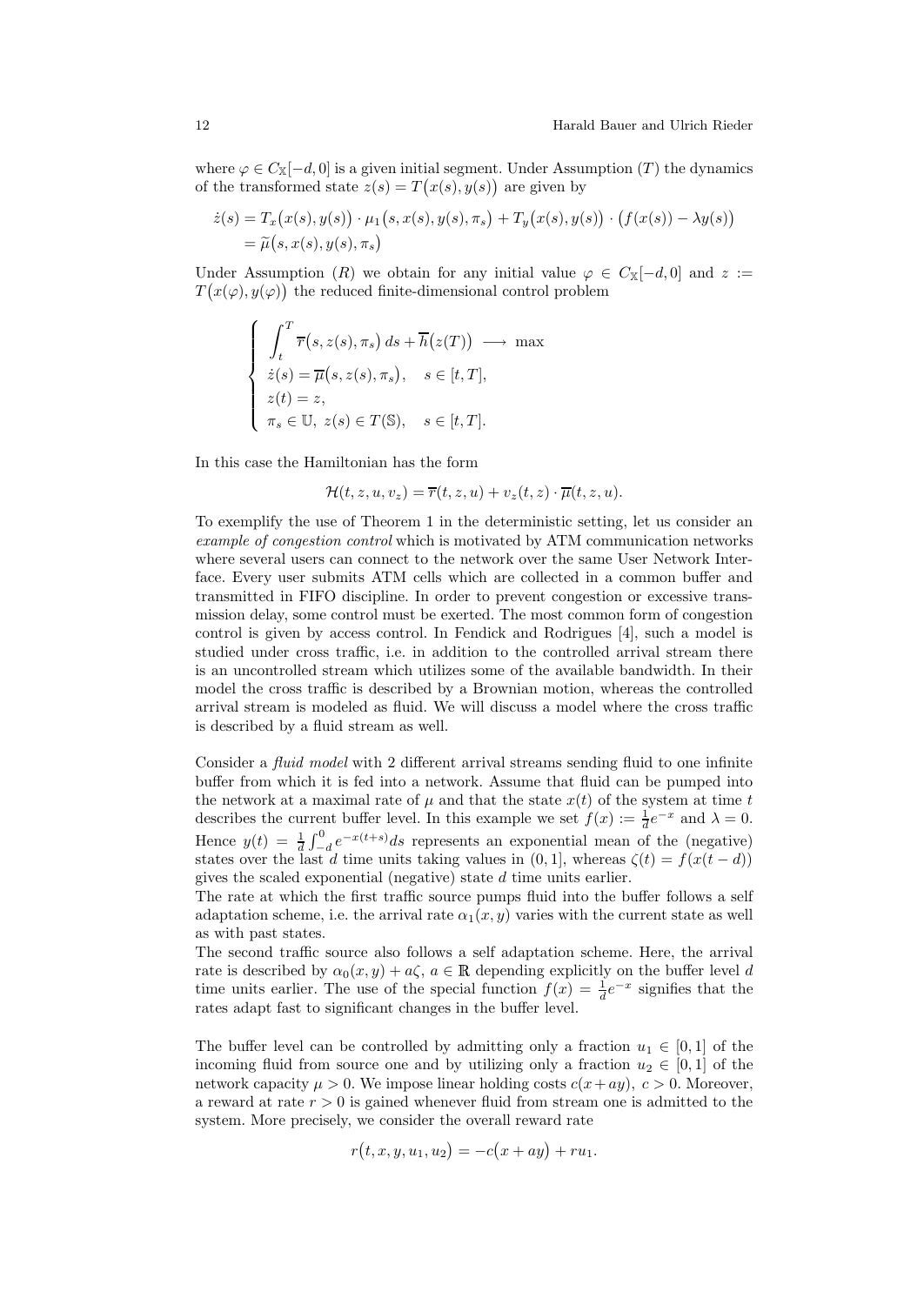where  $\varphi \in C_{\mathbb{X}}[-d,0]$  is a given initial segment. Under Assumption (T) the dynamics of the transformed state  $z(s) = T(x(s), y(s))$  are given by

$$
\begin{aligned} \dot{z}(s) &= T_x\big(x(s), y(s)\big) \cdot \mu_1\big(s, x(s), y(s), \pi_s\big) + T_y\big(x(s), y(s)\big) \cdot \big(f(x(s)) - \lambda y(s)\big) \\ &= \widetilde{\mu}\big(s, x(s), y(s), \pi_s\big) \end{aligned}
$$

Under Assumption (R) we obtain for any initial value  $\varphi \in C_{\mathbb{X}}[-d,0]$  and  $z :=$  $T(x(\varphi), y(\varphi))$  the reduced finite-dimensional control problem

$$
\begin{cases}\n\int_t^T \overline{r}(s, z(s), \pi_s) ds + \overline{h}(z(T)) \longrightarrow \max \\
\dot{z}(s) = \overline{\mu}(s, z(s), \pi_s), \quad s \in [t, T], \\
z(t) = z, \\
\pi_s \in \mathbb{U}, \ z(s) \in T(\mathbb{S}), \quad s \in [t, T].\n\end{cases}
$$

In this case the Hamiltonian has the form

$$
\mathcal{H}(t,z,u,v_z) = \overline{r}(t,z,u) + v_z(t,z) \cdot \overline{\mu}(t,z,u).
$$

To exemplify the use of Theorem 1 in the deterministic setting, let us consider an example of congestion control which is motivated by ATM communication networks where several users can connect to the network over the same User Network Interface. Every user submits ATM cells which are collected in a common buffer and transmitted in FIFO discipline. In order to prevent congestion or excessive transmission delay, some control must be exerted. The most common form of congestion control is given by access control. In Fendick and Rodrigues [4], such a model is studied under cross traffic, i.e. in addition to the controlled arrival stream there is an uncontrolled stream which utilizes some of the available bandwidth. In their model the cross traffic is described by a Brownian motion, whereas the controlled arrival stream is modeled as fluid. We will discuss a model where the cross traffic is described by a fluid stream as well.

Consider a fluid model with 2 different arrival streams sending fluid to one infinite buffer from which it is fed into a network. Assume that fluid can be pumped into the network at a maximal rate of  $\mu$  and that the state  $x(t)$  of the system at time t describes the current buffer level. In this example we set  $f(x) := \frac{1}{d}e^{-x}$  and  $\lambda = 0$ . Hence  $y(t) = \frac{1}{d} \int_{-d}^{0} e^{-x(t+s)} ds$  represents an exponential mean of the (negative) states over the last d time units taking values in  $(0, 1]$ , whereas  $\zeta(t) = f(x(t-d))$ gives the scaled exponential (negative) state d time units earlier.

The rate at which the first traffic source pumps fluid into the buffer follows a self adaptation scheme, i.e. the arrival rate  $\alpha_1(x, y)$  varies with the current state as well as with past states.

The second traffic source also follows a self adaptation scheme. Here, the arrival rate is described by  $\alpha_0(x, y) + a\zeta$ ,  $a \in \mathbb{R}$  depending explicitly on the buffer level d time units earlier. The use of the special function  $f(x) = \frac{1}{d}e^{-x}$  signifies that the rates adapt fast to significant changes in the buffer level.

The buffer level can be controlled by admitting only a fraction  $u_1 \in [0,1]$  of the incoming fluid from source one and by utilizing only a fraction  $u_2 \in [0,1]$  of the network capacity  $\mu > 0$ . We impose linear holding costs  $c(x+ay)$ ,  $c > 0$ . Moreover, a reward at rate  $r > 0$  is gained whenever fluid from stream one is admitted to the system. More precisely, we consider the overall reward rate

$$
r(t, x, y, u_1, u_2) = -c(x + ay) + ru_1.
$$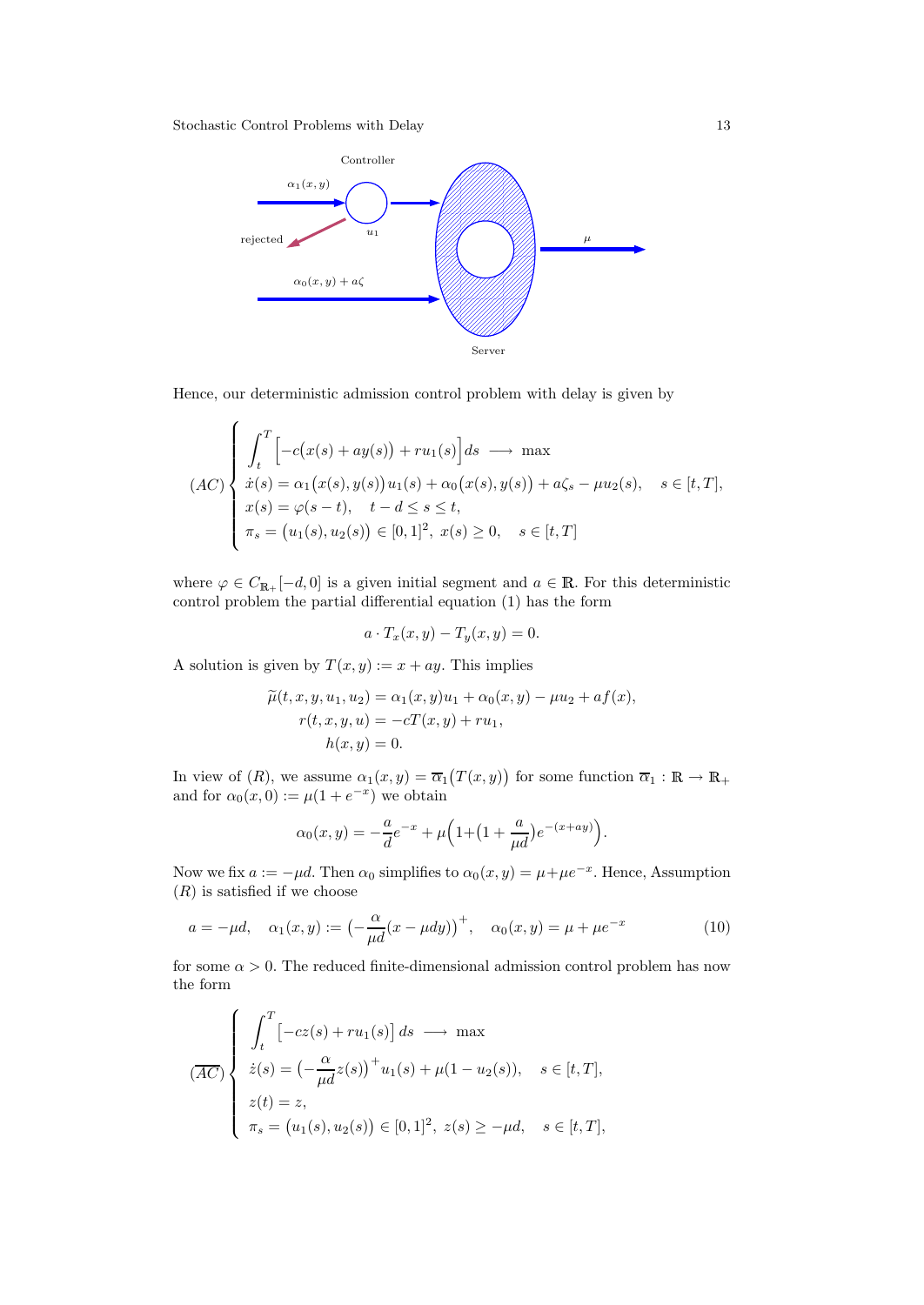

Hence, our deterministic admission control problem with delay is given by

$$
(AC) \begin{cases} \int_t^T \Big[ -c(x(s) + ay(s)) + ru_1(s) \Big] ds \longrightarrow \max \\ \dot{x}(s) = \alpha_1(x(s), y(s))u_1(s) + \alpha_0(x(s), y(s)) + a\zeta_s - \mu u_2(s), \quad s \in [t, T], \\ x(s) = \varphi(s - t), \quad t - d \le s \le t, \\ \pi_s = (u_1(s), u_2(s)) \in [0, 1]^2, \ x(s) \ge 0, \quad s \in [t, T] \end{cases}
$$

where  $\varphi \in C_{\mathbb{R}_+}[-d, 0]$  is a given initial segment and  $a \in \mathbb{R}$ . For this deterministic control problem the partial differential equation (1) has the form

$$
a \cdot T_x(x, y) - T_y(x, y) = 0.
$$

A solution is given by  $T(x, y) := x + ay$ . This implies

$$
\widetilde{\mu}(t, x, y, u_1, u_2) = \alpha_1(x, y)u_1 + \alpha_0(x, y) - \mu u_2 + af(x), \nr(t, x, y, u) = -cT(x, y) + ru_1, \nh(x, y) = 0.
$$

In view of  $(R)$ , we assume  $\alpha_1(x, y) = \overline{\alpha}_1(T(x, y))$  for some function  $\overline{\alpha}_1 : \mathbb{R} \to \mathbb{R}_+$ and for  $\alpha_0(x, 0) := \mu(1 + e^{-x})$  we obtain

$$
\alpha_0(x,y) = -\frac{a}{d}e^{-x} + \mu \left(1 + \left(1 + \frac{a}{\mu d}\right)e^{-(x+ay)}\right).
$$

Now we fix  $a := -\mu d$ . Then  $\alpha_0$  simplifies to  $\alpha_0(x, y) = \mu + \mu e^{-x}$ . Hence, Assumption  $(R)$  is satisfied if we choose

$$
a = -\mu d, \quad \alpha_1(x, y) := \left(-\frac{\alpha}{\mu d}(x - \mu dy)\right)^+, \quad \alpha_0(x, y) = \mu + \mu e^{-x}
$$
 (10)

for some  $\alpha > 0$ . The reduced finite-dimensional admission control problem has now the form

$$
\overline{(AC)} \begin{cases} \n\int_t^T \left[ -cz(s) + ru_1(s) \right] ds \longrightarrow \max \\ \nz(s) = \left( -\frac{\alpha}{\mu d} z(s) \right)^+ u_1(s) + \mu(1 - u_2(s)), \quad s \in [t, T], \\ \nz(t) = z, \\ \n\pi_s = \left( u_1(s), u_2(s) \right) \in [0, 1]^2, \ z(s) \ge -\mu d, \quad s \in [t, T], \n\end{cases}
$$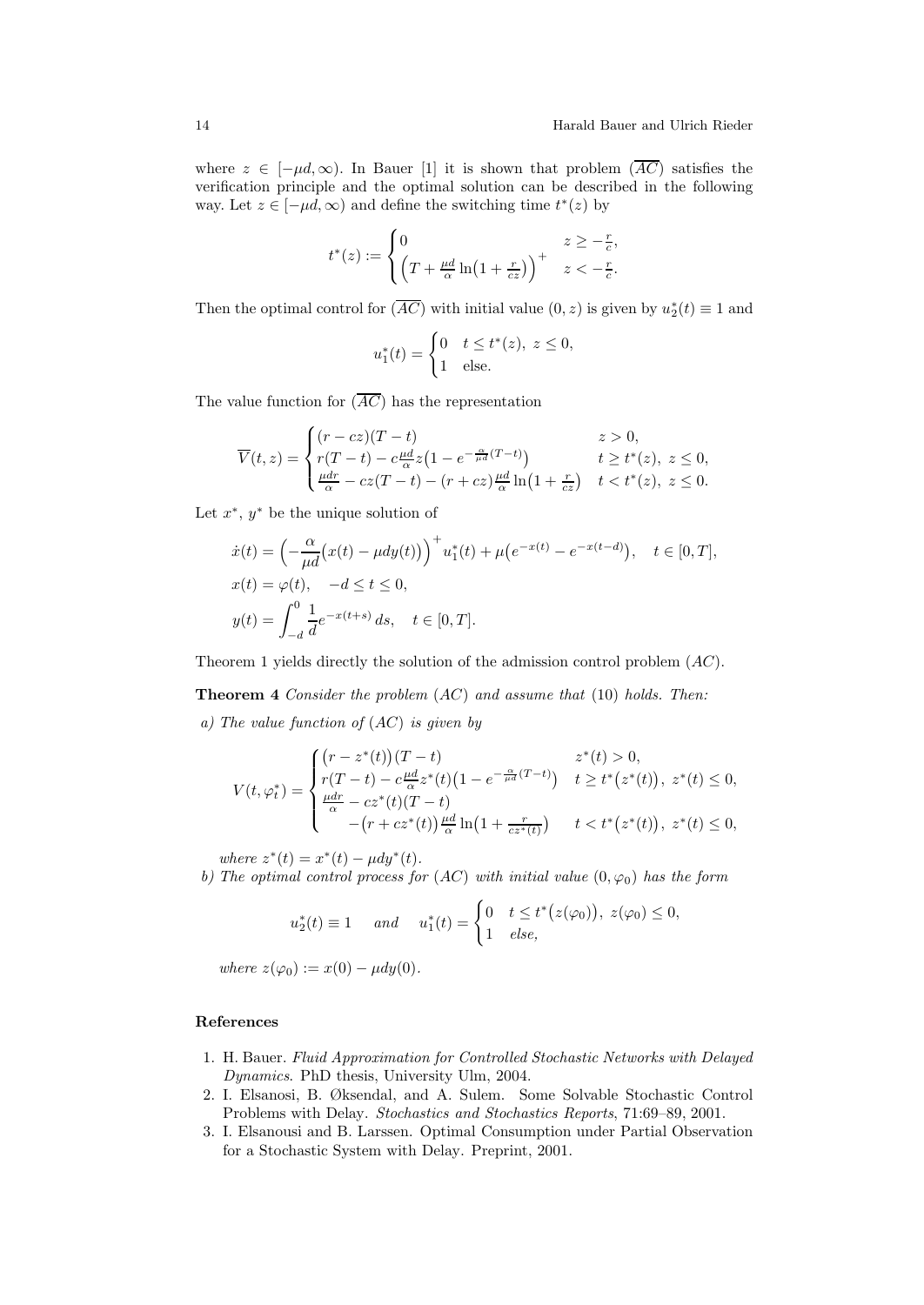where  $z \in [-\mu d, \infty)$ . In Bauer [1] it is shown that problem  $(\overline{AC})$  satisfies the verification principle and the optimal solution can be described in the following way. Let  $z \in [-\mu d, \infty)$  and define the switching time  $t^*(z)$  by

$$
t^*(z) := \begin{cases} 0 & z \geq -\frac{r}{c}, \\ \left(T + \frac{\mu d}{\alpha} \ln\left(1 + \frac{r}{cz}\right)\right)^+ & z < -\frac{r}{c}. \end{cases}
$$

Then the optimal control for  $(\overline{AC})$  with initial value  $(0, z)$  is given by  $u_2^*(t) \equiv 1$  and

$$
u_1^*(t) = \begin{cases} 0 & t \le t^*(z), \ z \le 0, \\ 1 & \text{else.} \end{cases}
$$

The value function for  $(\overline{AC})$  has the representation

$$
\overline{V}(t,z) = \begin{cases}\n(r - cz)(T - t) & z > 0, \\
r(T - t) - c\frac{\mu d}{\mu}z(1 - e^{-\frac{\alpha}{\mu d}(T - t)}) & t \ge t^*(z), \ z \le 0, \\
\frac{\mu dr}{\alpha} - cz(T - t) - (r + cz)\frac{\mu d}{\alpha}\ln(1 + \frac{r}{cz}) & t < t^*(z), \ z \le 0.\n\end{cases}
$$

Let  $x^*$ ,  $y^*$  be the unique solution of

$$
\begin{aligned}\n\dot{x}(t) &= \left( -\frac{\alpha}{\mu d} \big( x(t) - \mu dy(t) \big) \right)^+ u_1^*(t) + \mu \big( e^{-x(t)} - e^{-x(t-d)} \big), \quad t \in [0, T], \\
x(t) &= \varphi(t), \quad -d \le t \le 0, \\
y(t) &= \int_{-d}^0 \frac{1}{d} e^{-x(t+s)} \, ds, \quad t \in [0, T].\n\end{aligned}
$$

Theorem 1 yields directly the solution of the admission control problem (AC).

**Theorem 4** Consider the problem  $(AC)$  and assume that  $(10)$  holds. Then: a) The value function of (AC) is given by

$$
V(t, \varphi_t^*) = \begin{cases} \n(r - z^*(t))(T - t) & z^*(t) > 0, \\
r(T - t) - c\frac{\mu d}{\alpha}z^*(t)\left(1 - e^{-\frac{\alpha}{\mu d}(T - t)}\right) & t \ge t^*(z^*(t)), \ z^*(t) \le 0, \\
\frac{\mu dr}{\alpha} - cz^*(t)(T - t) & -(r + cz^*(t))\frac{\mu d}{\alpha}\ln\left(1 + \frac{r}{cz^*(t)}\right) & t < t^*(z^*(t)), \ z^*(t) \le 0,\n\end{cases}
$$

where  $z^*(t) = x^*(t) - \mu dy^*(t)$ .

b) The optimal control process for  $(AC)$  with initial value  $(0, \varphi_0)$  has the form

$$
u_2^*(t) \equiv 1 \quad \text{and} \quad u_1^*(t) = \begin{cases} 0 & t \le t^*(z(\varphi_0)), \ z(\varphi_0) \le 0, \\ 1 & else, \end{cases}
$$

where  $z(\varphi_0) := x(0) - \mu dy(0)$ .

#### References

- 1. H. Bauer. Fluid Approximation for Controlled Stochastic Networks with Delayed Dynamics. PhD thesis, University Ulm, 2004.
- 2. I. Elsanosi, B. Øksendal, and A. Sulem. Some Solvable Stochastic Control Problems with Delay. Stochastics and Stochastics Reports, 71:69–89, 2001.
- 3. I. Elsanousi and B. Larssen. Optimal Consumption under Partial Observation for a Stochastic System with Delay. Preprint, 2001.